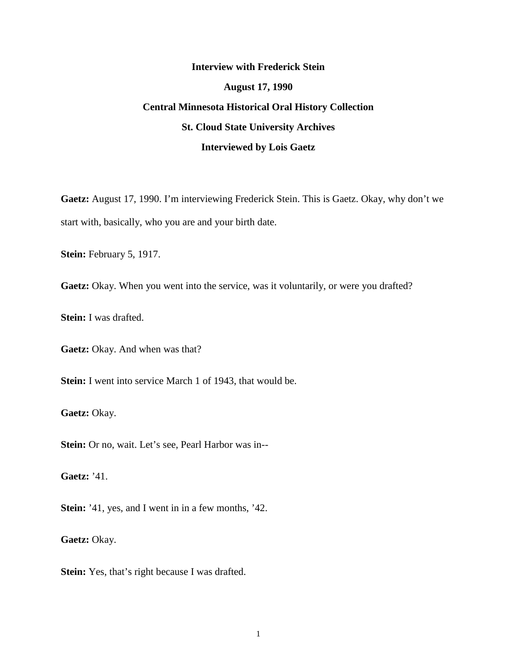# **Interview with Frederick Stein August 17, 1990 Central Minnesota Historical Oral History Collection St. Cloud State University Archives Interviewed by Lois Gaetz**

**Gaetz:** August 17, 1990. I'm interviewing Frederick Stein. This is Gaetz. Okay, why don't we start with, basically, who you are and your birth date.

**Stein:** February 5, 1917.

**Gaetz:** Okay. When you went into the service, was it voluntarily, or were you drafted?

**Stein:** I was drafted.

**Gaetz:** Okay. And when was that?

**Stein:** I went into service March 1 of 1943, that would be.

**Gaetz:** Okay.

**Stein:** Or no, wait. Let's see, Pearl Harbor was in--

**Gaetz:** '41.

**Stein:** '41, yes, and I went in in a few months, '42.

**Gaetz:** Okay.

**Stein:** Yes, that's right because I was drafted.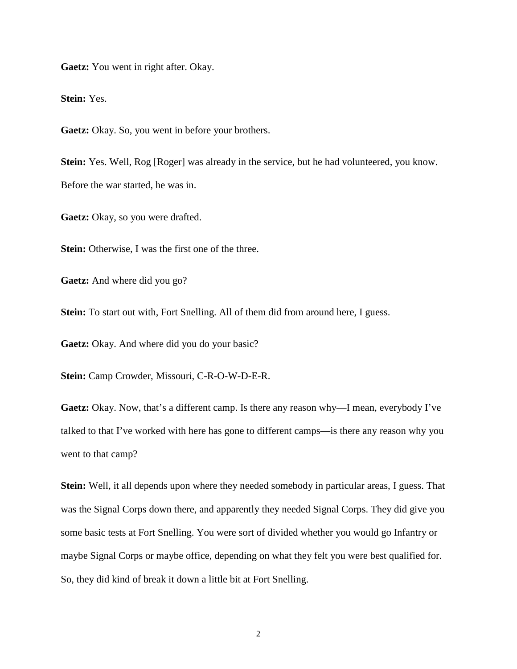**Gaetz:** You went in right after. Okay.

**Stein:** Yes.

**Gaetz:** Okay. So, you went in before your brothers.

**Stein:** Yes. Well, Rog [Roger] was already in the service, but he had volunteered, you know. Before the war started, he was in.

**Gaetz:** Okay, so you were drafted.

**Stein:** Otherwise, I was the first one of the three.

**Gaetz:** And where did you go?

**Stein:** To start out with, Fort Snelling. All of them did from around here, I guess.

**Gaetz:** Okay. And where did you do your basic?

**Stein:** Camp Crowder, Missouri, C-R-O-W-D-E-R.

**Gaetz:** Okay. Now, that's a different camp. Is there any reason why—I mean, everybody I've talked to that I've worked with here has gone to different camps—is there any reason why you went to that camp?

**Stein:** Well, it all depends upon where they needed somebody in particular areas, I guess. That was the Signal Corps down there, and apparently they needed Signal Corps. They did give you some basic tests at Fort Snelling. You were sort of divided whether you would go Infantry or maybe Signal Corps or maybe office, depending on what they felt you were best qualified for. So, they did kind of break it down a little bit at Fort Snelling.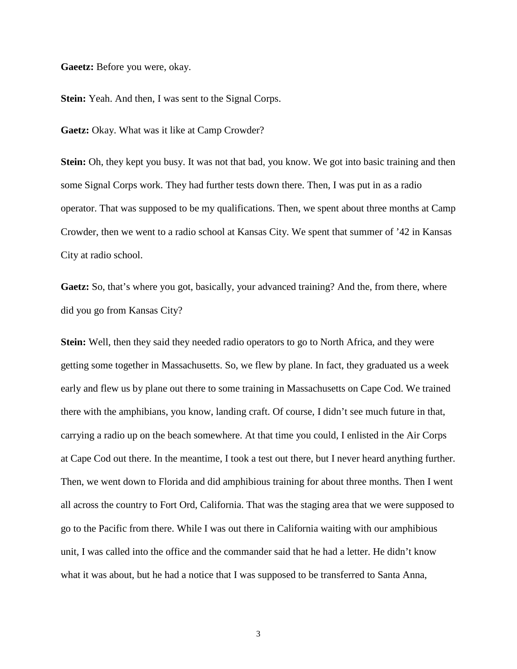**Gaeetz:** Before you were, okay.

**Stein:** Yeah. And then, I was sent to the Signal Corps.

**Gaetz:** Okay. What was it like at Camp Crowder?

**Stein:** Oh, they kept you busy. It was not that bad, you know. We got into basic training and then some Signal Corps work. They had further tests down there. Then, I was put in as a radio operator. That was supposed to be my qualifications. Then, we spent about three months at Camp Crowder, then we went to a radio school at Kansas City. We spent that summer of '42 in Kansas City at radio school.

**Gaetz:** So, that's where you got, basically, your advanced training? And the, from there, where did you go from Kansas City?

**Stein:** Well, then they said they needed radio operators to go to North Africa, and they were getting some together in Massachusetts. So, we flew by plane. In fact, they graduated us a week early and flew us by plane out there to some training in Massachusetts on Cape Cod. We trained there with the amphibians, you know, landing craft. Of course, I didn't see much future in that, carrying a radio up on the beach somewhere. At that time you could, I enlisted in the Air Corps at Cape Cod out there. In the meantime, I took a test out there, but I never heard anything further. Then, we went down to Florida and did amphibious training for about three months. Then I went all across the country to Fort Ord, California. That was the staging area that we were supposed to go to the Pacific from there. While I was out there in California waiting with our amphibious unit, I was called into the office and the commander said that he had a letter. He didn't know what it was about, but he had a notice that I was supposed to be transferred to Santa Anna,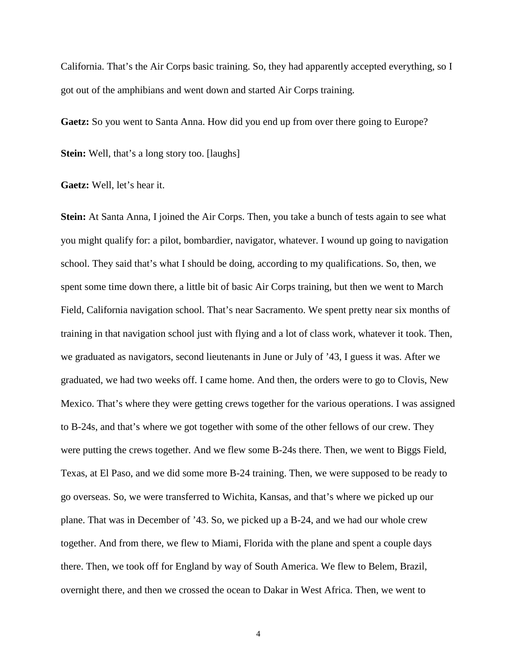California. That's the Air Corps basic training. So, they had apparently accepted everything, so I got out of the amphibians and went down and started Air Corps training.

**Gaetz:** So you went to Santa Anna. How did you end up from over there going to Europe?

**Stein:** Well, that's a long story too. [laughs]

**Gaetz:** Well, let's hear it.

**Stein:** At Santa Anna, I joined the Air Corps. Then, you take a bunch of tests again to see what you might qualify for: a pilot, bombardier, navigator, whatever. I wound up going to navigation school. They said that's what I should be doing, according to my qualifications. So, then, we spent some time down there, a little bit of basic Air Corps training, but then we went to March Field, California navigation school. That's near Sacramento. We spent pretty near six months of training in that navigation school just with flying and a lot of class work, whatever it took. Then, we graduated as navigators, second lieutenants in June or July of '43, I guess it was. After we graduated, we had two weeks off. I came home. And then, the orders were to go to Clovis, New Mexico. That's where they were getting crews together for the various operations. I was assigned to B-24s, and that's where we got together with some of the other fellows of our crew. They were putting the crews together. And we flew some B-24s there. Then, we went to Biggs Field, Texas, at El Paso, and we did some more B-24 training. Then, we were supposed to be ready to go overseas. So, we were transferred to Wichita, Kansas, and that's where we picked up our plane. That was in December of '43. So, we picked up a B-24, and we had our whole crew together. And from there, we flew to Miami, Florida with the plane and spent a couple days there. Then, we took off for England by way of South America. We flew to Belem, Brazil, overnight there, and then we crossed the ocean to Dakar in West Africa. Then, we went to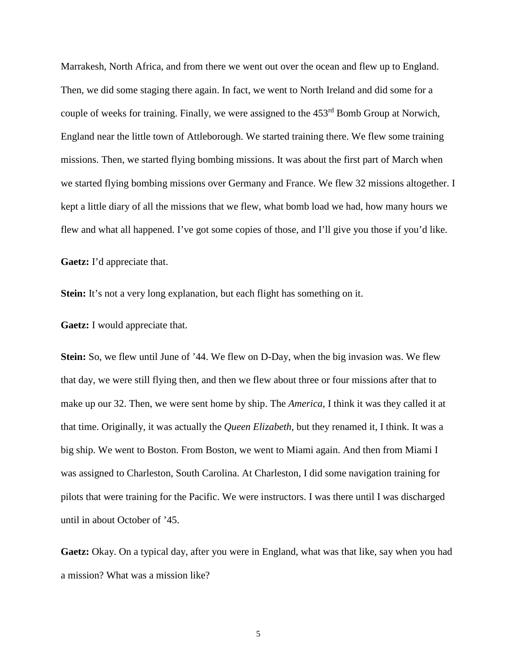Marrakesh, North Africa, and from there we went out over the ocean and flew up to England. Then, we did some staging there again. In fact, we went to North Ireland and did some for a couple of weeks for training. Finally, we were assigned to the 453<sup>rd</sup> Bomb Group at Norwich, England near the little town of Attleborough. We started training there. We flew some training missions. Then, we started flying bombing missions. It was about the first part of March when we started flying bombing missions over Germany and France. We flew 32 missions altogether. I kept a little diary of all the missions that we flew, what bomb load we had, how many hours we flew and what all happened. I've got some copies of those, and I'll give you those if you'd like.

**Gaetz:** I'd appreciate that.

**Stein:** It's not a very long explanation, but each flight has something on it.

**Gaetz:** I would appreciate that.

**Stein:** So, we flew until June of '44. We flew on D-Day, when the big invasion was. We flew that day, we were still flying then, and then we flew about three or four missions after that to make up our 32. Then, we were sent home by ship. The *America*, I think it was they called it at that time. Originally, it was actually the *Queen Elizabeth*, but they renamed it, I think. It was a big ship. We went to Boston. From Boston, we went to Miami again. And then from Miami I was assigned to Charleston, South Carolina. At Charleston, I did some navigation training for pilots that were training for the Pacific. We were instructors. I was there until I was discharged until in about October of '45.

**Gaetz:** Okay. On a typical day, after you were in England, what was that like, say when you had a mission? What was a mission like?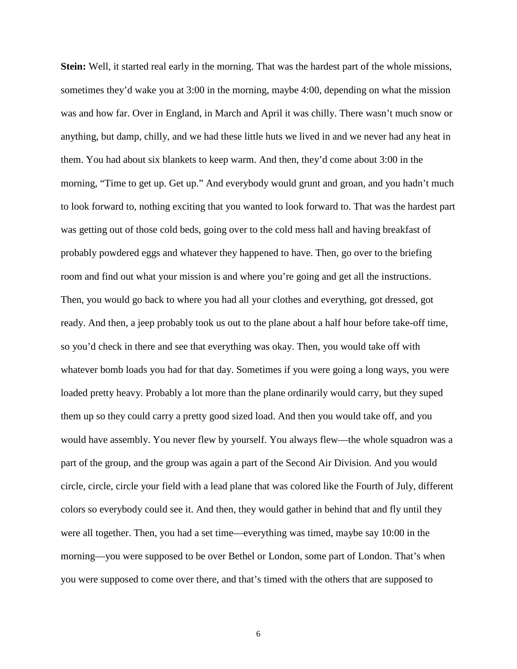**Stein:** Well, it started real early in the morning. That was the hardest part of the whole missions, sometimes they'd wake you at 3:00 in the morning, maybe 4:00, depending on what the mission was and how far. Over in England, in March and April it was chilly. There wasn't much snow or anything, but damp, chilly, and we had these little huts we lived in and we never had any heat in them. You had about six blankets to keep warm. And then, they'd come about 3:00 in the morning, "Time to get up. Get up." And everybody would grunt and groan, and you hadn't much to look forward to, nothing exciting that you wanted to look forward to. That was the hardest part was getting out of those cold beds, going over to the cold mess hall and having breakfast of probably powdered eggs and whatever they happened to have. Then, go over to the briefing room and find out what your mission is and where you're going and get all the instructions. Then, you would go back to where you had all your clothes and everything, got dressed, got ready. And then, a jeep probably took us out to the plane about a half hour before take-off time, so you'd check in there and see that everything was okay. Then, you would take off with whatever bomb loads you had for that day. Sometimes if you were going a long ways, you were loaded pretty heavy. Probably a lot more than the plane ordinarily would carry, but they suped them up so they could carry a pretty good sized load. And then you would take off, and you would have assembly. You never flew by yourself. You always flew—the whole squadron was a part of the group, and the group was again a part of the Second Air Division. And you would circle, circle, circle your field with a lead plane that was colored like the Fourth of July, different colors so everybody could see it. And then, they would gather in behind that and fly until they were all together. Then, you had a set time—everything was timed, maybe say 10:00 in the morning—you were supposed to be over Bethel or London, some part of London. That's when you were supposed to come over there, and that's timed with the others that are supposed to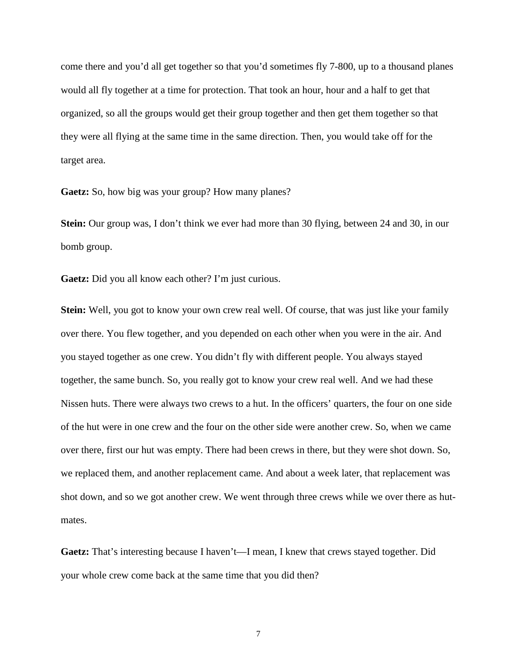come there and you'd all get together so that you'd sometimes fly 7-800, up to a thousand planes would all fly together at a time for protection. That took an hour, hour and a half to get that organized, so all the groups would get their group together and then get them together so that they were all flying at the same time in the same direction. Then, you would take off for the target area.

**Gaetz:** So, how big was your group? How many planes?

**Stein:** Our group was, I don't think we ever had more than 30 flying, between 24 and 30, in our bomb group.

**Gaetz:** Did you all know each other? I'm just curious.

**Stein:** Well, you got to know your own crew real well. Of course, that was just like your family over there. You flew together, and you depended on each other when you were in the air. And you stayed together as one crew. You didn't fly with different people. You always stayed together, the same bunch. So, you really got to know your crew real well. And we had these Nissen huts. There were always two crews to a hut. In the officers' quarters, the four on one side of the hut were in one crew and the four on the other side were another crew. So, when we came over there, first our hut was empty. There had been crews in there, but they were shot down. So, we replaced them, and another replacement came. And about a week later, that replacement was shot down, and so we got another crew. We went through three crews while we over there as hutmates.

**Gaetz:** That's interesting because I haven't—I mean, I knew that crews stayed together. Did your whole crew come back at the same time that you did then?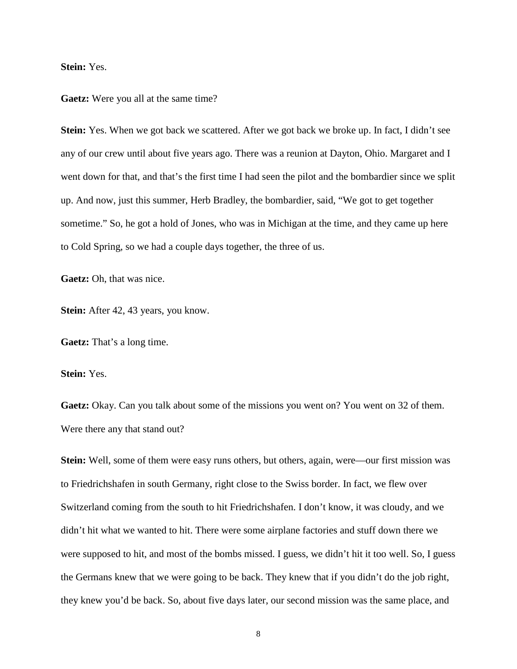**Stein:** Yes.

**Gaetz:** Were you all at the same time?

**Stein:** Yes. When we got back we scattered. After we got back we broke up. In fact, I didn't see any of our crew until about five years ago. There was a reunion at Dayton, Ohio. Margaret and I went down for that, and that's the first time I had seen the pilot and the bombardier since we split up. And now, just this summer, Herb Bradley, the bombardier, said, "We got to get together sometime." So, he got a hold of Jones, who was in Michigan at the time, and they came up here to Cold Spring, so we had a couple days together, the three of us.

**Gaetz:** Oh, that was nice.

**Stein:** After 42, 43 years, you know.

**Gaetz:** That's a long time.

**Stein:** Yes.

**Gaetz:** Okay. Can you talk about some of the missions you went on? You went on 32 of them. Were there any that stand out?

**Stein:** Well, some of them were easy runs others, but others, again, were—our first mission was to Friedrichshafen in south Germany, right close to the Swiss border. In fact, we flew over Switzerland coming from the south to hit Friedrichshafen. I don't know, it was cloudy, and we didn't hit what we wanted to hit. There were some airplane factories and stuff down there we were supposed to hit, and most of the bombs missed. I guess, we didn't hit it too well. So, I guess the Germans knew that we were going to be back. They knew that if you didn't do the job right, they knew you'd be back. So, about five days later, our second mission was the same place, and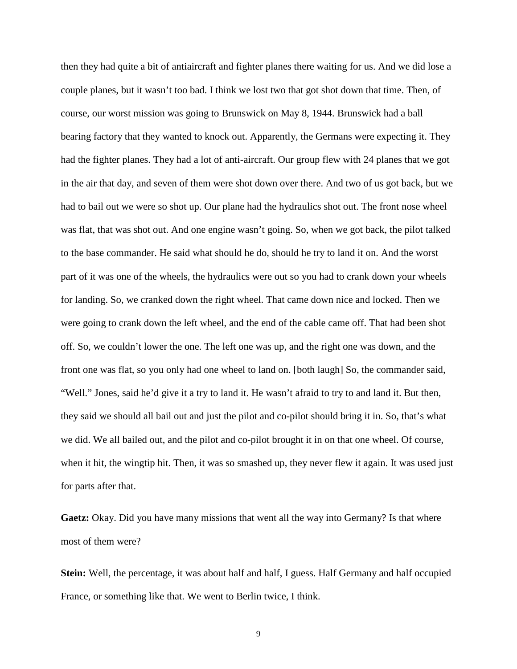then they had quite a bit of antiaircraft and fighter planes there waiting for us. And we did lose a couple planes, but it wasn't too bad. I think we lost two that got shot down that time. Then, of course, our worst mission was going to Brunswick on May 8, 1944. Brunswick had a ball bearing factory that they wanted to knock out. Apparently, the Germans were expecting it. They had the fighter planes. They had a lot of anti-aircraft. Our group flew with 24 planes that we got in the air that day, and seven of them were shot down over there. And two of us got back, but we had to bail out we were so shot up. Our plane had the hydraulics shot out. The front nose wheel was flat, that was shot out. And one engine wasn't going. So, when we got back, the pilot talked to the base commander. He said what should he do, should he try to land it on. And the worst part of it was one of the wheels, the hydraulics were out so you had to crank down your wheels for landing. So, we cranked down the right wheel. That came down nice and locked. Then we were going to crank down the left wheel, and the end of the cable came off. That had been shot off. So, we couldn't lower the one. The left one was up, and the right one was down, and the front one was flat, so you only had one wheel to land on. [both laugh] So, the commander said, "Well." Jones, said he'd give it a try to land it. He wasn't afraid to try to and land it. But then, they said we should all bail out and just the pilot and co-pilot should bring it in. So, that's what we did. We all bailed out, and the pilot and co-pilot brought it in on that one wheel. Of course, when it hit, the wingtip hit. Then, it was so smashed up, they never flew it again. It was used just for parts after that.

**Gaetz:** Okay. Did you have many missions that went all the way into Germany? Is that where most of them were?

**Stein:** Well, the percentage, it was about half and half, I guess. Half Germany and half occupied France, or something like that. We went to Berlin twice, I think.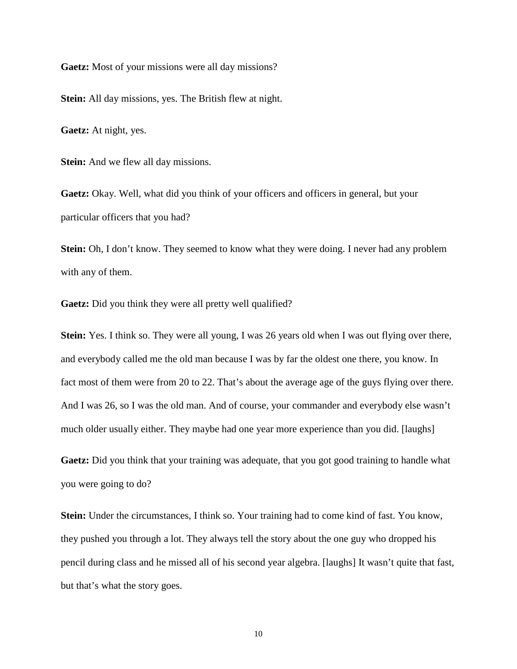**Gaetz:** Most of your missions were all day missions?

**Stein:** All day missions, yes. The British flew at night.

**Gaetz:** At night, yes.

**Stein:** And we flew all day missions.

**Gaetz:** Okay. Well, what did you think of your officers and officers in general, but your particular officers that you had?

**Stein:** Oh, I don't know. They seemed to know what they were doing. I never had any problem with any of them.

**Gaetz:** Did you think they were all pretty well qualified?

**Stein:** Yes. I think so. They were all young, I was 26 years old when I was out flying over there, and everybody called me the old man because I was by far the oldest one there, you know. In fact most of them were from 20 to 22. That's about the average age of the guys flying over there. And I was 26, so I was the old man. And of course, your commander and everybody else wasn't much older usually either. They maybe had one year more experience than you did. [laughs]

**Gaetz:** Did you think that your training was adequate, that you got good training to handle what you were going to do?

**Stein:** Under the circumstances, I think so. Your training had to come kind of fast. You know, they pushed you through a lot. They always tell the story about the one guy who dropped his pencil during class and he missed all of his second year algebra. [laughs] It wasn't quite that fast, but that's what the story goes.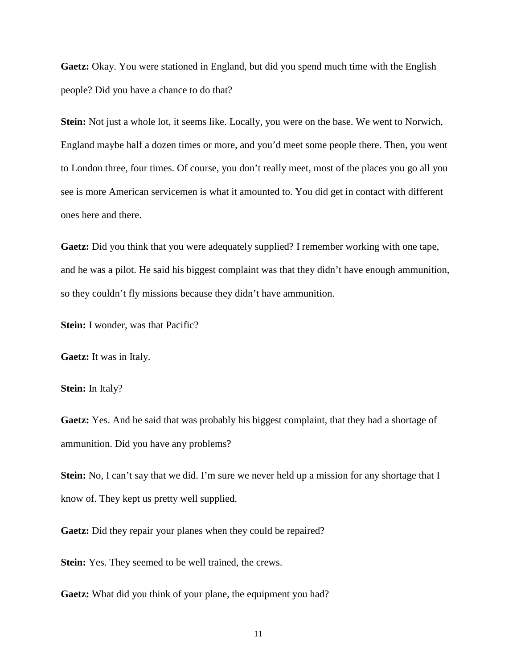**Gaetz:** Okay. You were stationed in England, but did you spend much time with the English people? Did you have a chance to do that?

**Stein:** Not just a whole lot, it seems like. Locally, you were on the base. We went to Norwich, England maybe half a dozen times or more, and you'd meet some people there. Then, you went to London three, four times. Of course, you don't really meet, most of the places you go all you see is more American servicemen is what it amounted to. You did get in contact with different ones here and there.

**Gaetz:** Did you think that you were adequately supplied? I remember working with one tape, and he was a pilot. He said his biggest complaint was that they didn't have enough ammunition, so they couldn't fly missions because they didn't have ammunition.

**Stein:** I wonder, was that Pacific?

**Gaetz:** It was in Italy.

**Stein:** In Italy?

**Gaetz:** Yes. And he said that was probably his biggest complaint, that they had a shortage of ammunition. Did you have any problems?

**Stein:** No, I can't say that we did. I'm sure we never held up a mission for any shortage that I know of. They kept us pretty well supplied.

**Gaetz:** Did they repair your planes when they could be repaired?

**Stein:** Yes. They seemed to be well trained, the crews.

**Gaetz:** What did you think of your plane, the equipment you had?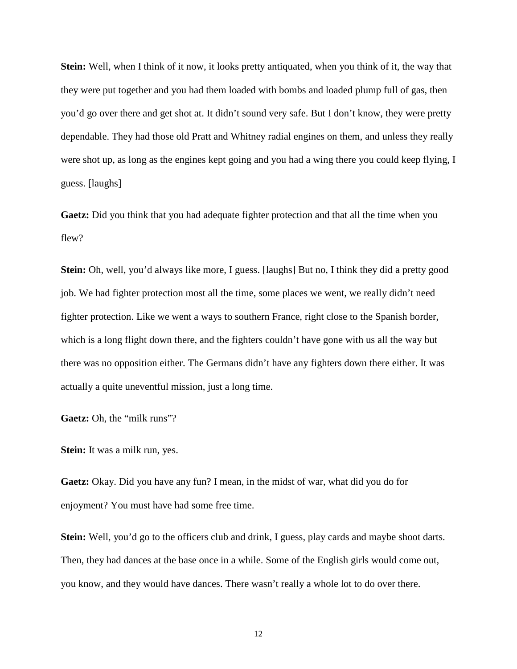**Stein:** Well, when I think of it now, it looks pretty antiquated, when you think of it, the way that they were put together and you had them loaded with bombs and loaded plump full of gas, then you'd go over there and get shot at. It didn't sound very safe. But I don't know, they were pretty dependable. They had those old Pratt and Whitney radial engines on them, and unless they really were shot up, as long as the engines kept going and you had a wing there you could keep flying, I guess. [laughs]

**Gaetz:** Did you think that you had adequate fighter protection and that all the time when you flew?

**Stein:** Oh, well, you'd always like more, I guess. [laughs] But no, I think they did a pretty good job. We had fighter protection most all the time, some places we went, we really didn't need fighter protection. Like we went a ways to southern France, right close to the Spanish border, which is a long flight down there, and the fighters couldn't have gone with us all the way but there was no opposition either. The Germans didn't have any fighters down there either. It was actually a quite uneventful mission, just a long time.

**Gaetz:** Oh, the "milk runs"?

**Stein:** It was a milk run, yes.

**Gaetz:** Okay. Did you have any fun? I mean, in the midst of war, what did you do for enjoyment? You must have had some free time.

**Stein:** Well, you'd go to the officers club and drink, I guess, play cards and maybe shoot darts. Then, they had dances at the base once in a while. Some of the English girls would come out, you know, and they would have dances. There wasn't really a whole lot to do over there.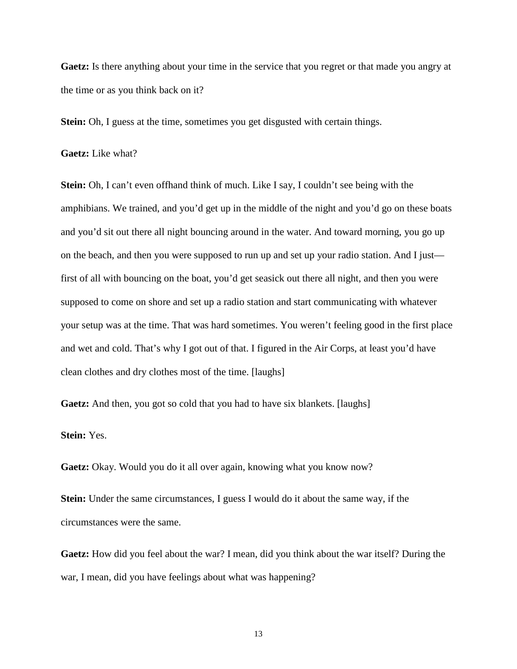**Gaetz:** Is there anything about your time in the service that you regret or that made you angry at the time or as you think back on it?

**Stein:** Oh, I guess at the time, sometimes you get disgusted with certain things.

## **Gaetz:** Like what?

**Stein:** Oh, I can't even offhand think of much. Like I say, I couldn't see being with the amphibians. We trained, and you'd get up in the middle of the night and you'd go on these boats and you'd sit out there all night bouncing around in the water. And toward morning, you go up on the beach, and then you were supposed to run up and set up your radio station. And I just first of all with bouncing on the boat, you'd get seasick out there all night, and then you were supposed to come on shore and set up a radio station and start communicating with whatever your setup was at the time. That was hard sometimes. You weren't feeling good in the first place and wet and cold. That's why I got out of that. I figured in the Air Corps, at least you'd have clean clothes and dry clothes most of the time. [laughs]

Gaetz: And then, you got so cold that you had to have six blankets. [laughs]

# **Stein:** Yes.

Gaetz: Okay. Would you do it all over again, knowing what you know now?

**Stein:** Under the same circumstances, I guess I would do it about the same way, if the circumstances were the same.

**Gaetz:** How did you feel about the war? I mean, did you think about the war itself? During the war, I mean, did you have feelings about what was happening?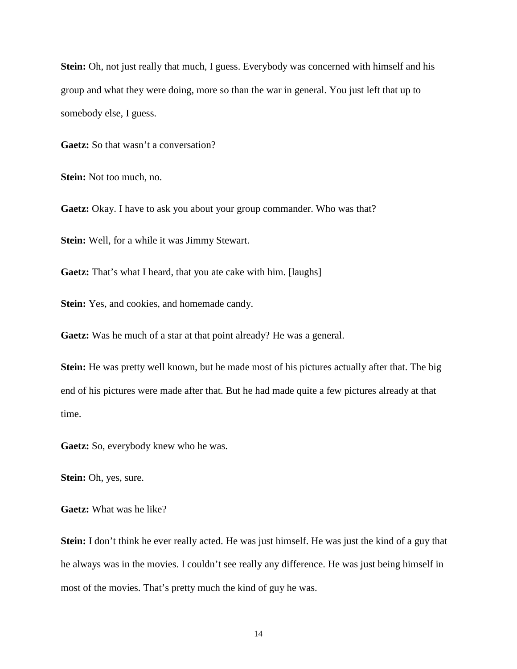**Stein:** Oh, not just really that much, I guess. Everybody was concerned with himself and his group and what they were doing, more so than the war in general. You just left that up to somebody else, I guess.

**Gaetz:** So that wasn't a conversation?

**Stein:** Not too much, no.

**Gaetz:** Okay. I have to ask you about your group commander. Who was that?

**Stein:** Well, for a while it was Jimmy Stewart.

**Gaetz:** That's what I heard, that you ate cake with him. [laughs]

**Stein:** Yes, and cookies, and homemade candy.

**Gaetz:** Was he much of a star at that point already? He was a general.

**Stein:** He was pretty well known, but he made most of his pictures actually after that. The big end of his pictures were made after that. But he had made quite a few pictures already at that time.

**Gaetz:** So, everybody knew who he was.

**Stein:** Oh, yes, sure.

**Gaetz:** What was he like?

**Stein:** I don't think he ever really acted. He was just himself. He was just the kind of a guy that he always was in the movies. I couldn't see really any difference. He was just being himself in most of the movies. That's pretty much the kind of guy he was.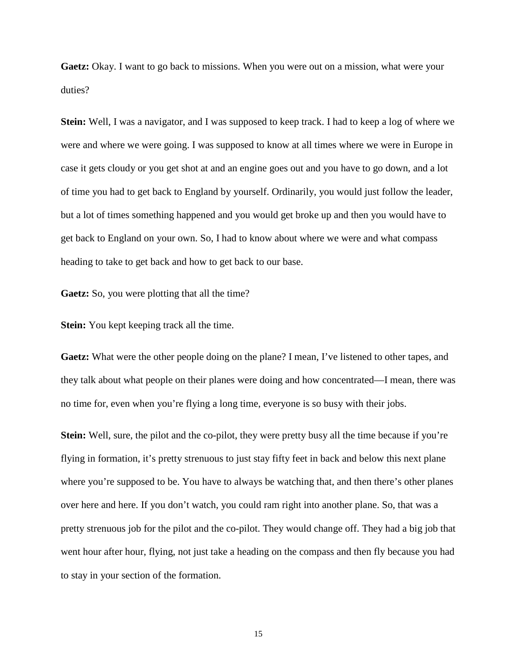**Gaetz:** Okay. I want to go back to missions. When you were out on a mission, what were your duties?

**Stein:** Well, I was a navigator, and I was supposed to keep track. I had to keep a log of where we were and where we were going. I was supposed to know at all times where we were in Europe in case it gets cloudy or you get shot at and an engine goes out and you have to go down, and a lot of time you had to get back to England by yourself. Ordinarily, you would just follow the leader, but a lot of times something happened and you would get broke up and then you would have to get back to England on your own. So, I had to know about where we were and what compass heading to take to get back and how to get back to our base.

**Gaetz:** So, you were plotting that all the time?

**Stein:** You kept keeping track all the time.

**Gaetz:** What were the other people doing on the plane? I mean, I've listened to other tapes, and they talk about what people on their planes were doing and how concentrated—I mean, there was no time for, even when you're flying a long time, everyone is so busy with their jobs.

**Stein:** Well, sure, the pilot and the co-pilot, they were pretty busy all the time because if you're flying in formation, it's pretty strenuous to just stay fifty feet in back and below this next plane where you're supposed to be. You have to always be watching that, and then there's other planes over here and here. If you don't watch, you could ram right into another plane. So, that was a pretty strenuous job for the pilot and the co-pilot. They would change off. They had a big job that went hour after hour, flying, not just take a heading on the compass and then fly because you had to stay in your section of the formation.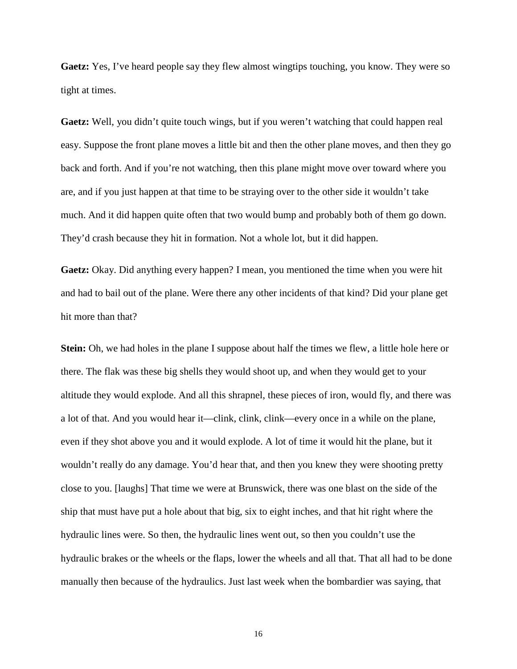**Gaetz:** Yes, I've heard people say they flew almost wingtips touching, you know. They were so tight at times.

**Gaetz:** Well, you didn't quite touch wings, but if you weren't watching that could happen real easy. Suppose the front plane moves a little bit and then the other plane moves, and then they go back and forth. And if you're not watching, then this plane might move over toward where you are, and if you just happen at that time to be straying over to the other side it wouldn't take much. And it did happen quite often that two would bump and probably both of them go down. They'd crash because they hit in formation. Not a whole lot, but it did happen.

**Gaetz:** Okay. Did anything every happen? I mean, you mentioned the time when you were hit and had to bail out of the plane. Were there any other incidents of that kind? Did your plane get hit more than that?

**Stein:** Oh, we had holes in the plane I suppose about half the times we flew, a little hole here or there. The flak was these big shells they would shoot up, and when they would get to your altitude they would explode. And all this shrapnel, these pieces of iron, would fly, and there was a lot of that. And you would hear it—clink, clink, clink—every once in a while on the plane, even if they shot above you and it would explode. A lot of time it would hit the plane, but it wouldn't really do any damage. You'd hear that, and then you knew they were shooting pretty close to you. [laughs] That time we were at Brunswick, there was one blast on the side of the ship that must have put a hole about that big, six to eight inches, and that hit right where the hydraulic lines were. So then, the hydraulic lines went out, so then you couldn't use the hydraulic brakes or the wheels or the flaps, lower the wheels and all that. That all had to be done manually then because of the hydraulics. Just last week when the bombardier was saying, that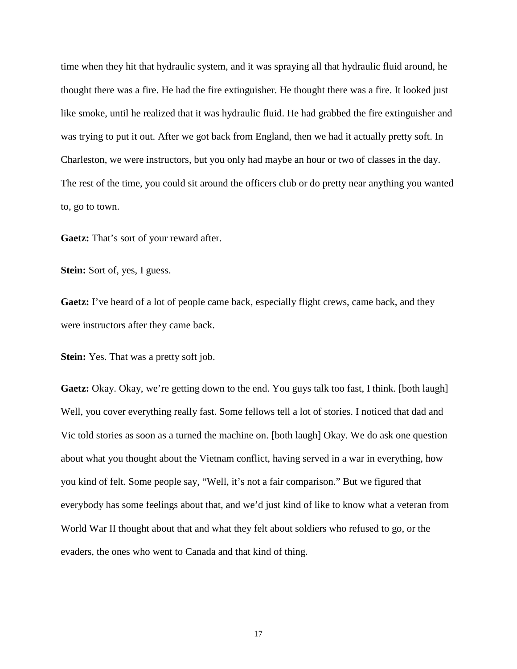time when they hit that hydraulic system, and it was spraying all that hydraulic fluid around, he thought there was a fire. He had the fire extinguisher. He thought there was a fire. It looked just like smoke, until he realized that it was hydraulic fluid. He had grabbed the fire extinguisher and was trying to put it out. After we got back from England, then we had it actually pretty soft. In Charleston, we were instructors, but you only had maybe an hour or two of classes in the day. The rest of the time, you could sit around the officers club or do pretty near anything you wanted to, go to town.

**Gaetz:** That's sort of your reward after.

**Stein:** Sort of, yes, I guess.

Gaetz: I've heard of a lot of people came back, especially flight crews, came back, and they were instructors after they came back.

**Stein:** Yes. That was a pretty soft job.

**Gaetz:** Okay. Okay, we're getting down to the end. You guys talk too fast, I think. [both laugh] Well, you cover everything really fast. Some fellows tell a lot of stories. I noticed that dad and Vic told stories as soon as a turned the machine on. [both laugh] Okay. We do ask one question about what you thought about the Vietnam conflict, having served in a war in everything, how you kind of felt. Some people say, "Well, it's not a fair comparison." But we figured that everybody has some feelings about that, and we'd just kind of like to know what a veteran from World War II thought about that and what they felt about soldiers who refused to go, or the evaders, the ones who went to Canada and that kind of thing.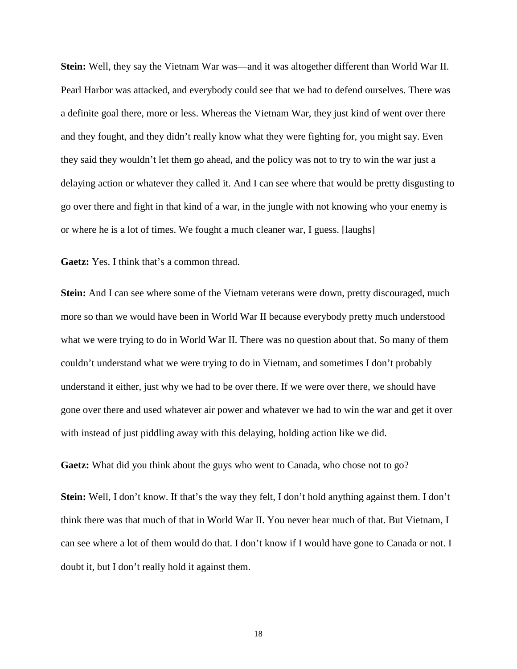**Stein:** Well, they say the Vietnam War was—and it was altogether different than World War II. Pearl Harbor was attacked, and everybody could see that we had to defend ourselves. There was a definite goal there, more or less. Whereas the Vietnam War, they just kind of went over there and they fought, and they didn't really know what they were fighting for, you might say. Even they said they wouldn't let them go ahead, and the policy was not to try to win the war just a delaying action or whatever they called it. And I can see where that would be pretty disgusting to go over there and fight in that kind of a war, in the jungle with not knowing who your enemy is or where he is a lot of times. We fought a much cleaner war, I guess. [laughs]

**Gaetz:** Yes. I think that's a common thread.

**Stein:** And I can see where some of the Vietnam veterans were down, pretty discouraged, much more so than we would have been in World War II because everybody pretty much understood what we were trying to do in World War II. There was no question about that. So many of them couldn't understand what we were trying to do in Vietnam, and sometimes I don't probably understand it either, just why we had to be over there. If we were over there, we should have gone over there and used whatever air power and whatever we had to win the war and get it over with instead of just piddling away with this delaying, holding action like we did.

**Gaetz:** What did you think about the guys who went to Canada, who chose not to go?

**Stein:** Well, I don't know. If that's the way they felt, I don't hold anything against them. I don't think there was that much of that in World War II. You never hear much of that. But Vietnam, I can see where a lot of them would do that. I don't know if I would have gone to Canada or not. I doubt it, but I don't really hold it against them.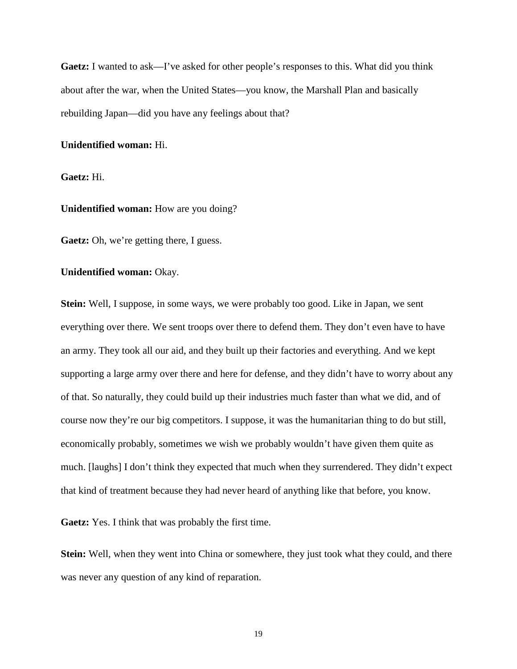**Gaetz:** I wanted to ask—I've asked for other people's responses to this. What did you think about after the war, when the United States—you know, the Marshall Plan and basically rebuilding Japan—did you have any feelings about that?

## **Unidentified woman:** Hi.

**Gaetz:** Hi.

**Unidentified woman:** How are you doing?

**Gaetz:** Oh, we're getting there, I guess.

#### **Unidentified woman:** Okay.

**Stein:** Well, I suppose, in some ways, we were probably too good. Like in Japan, we sent everything over there. We sent troops over there to defend them. They don't even have to have an army. They took all our aid, and they built up their factories and everything. And we kept supporting a large army over there and here for defense, and they didn't have to worry about any of that. So naturally, they could build up their industries much faster than what we did, and of course now they're our big competitors. I suppose, it was the humanitarian thing to do but still, economically probably, sometimes we wish we probably wouldn't have given them quite as much. [laughs] I don't think they expected that much when they surrendered. They didn't expect that kind of treatment because they had never heard of anything like that before, you know.

**Gaetz:** Yes. I think that was probably the first time.

**Stein:** Well, when they went into China or somewhere, they just took what they could, and there was never any question of any kind of reparation.